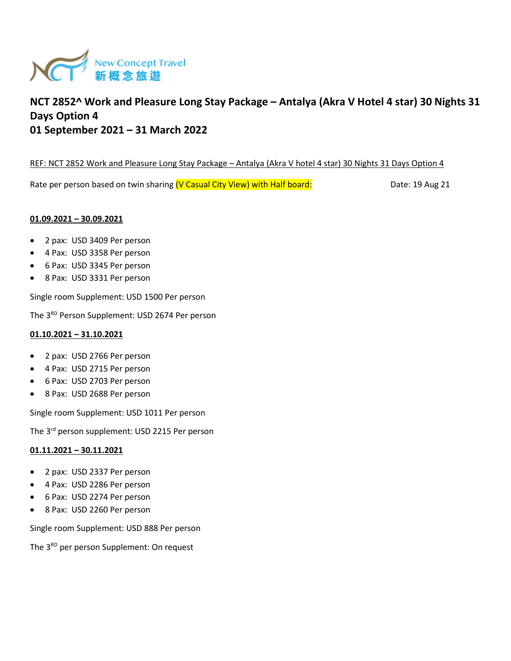

# **NCT 2852^ Work and Pleasure Long Stay Package – Antalya (Akra V Hotel 4 star) 30 Nights 31 Days Option 4 01 September 2021 – 31 March 2022**

## REF: NCT 2852 Work and Pleasure Long Stay Package – Antalya (Akra V hotel 4 star) 30 Nights 31 Days Option 4

Rate per person based on twin sharing (V Casual City View) with Half board: Date: 19 Aug 21

## **01.09.2021 – 30.09.2021**

- 2 pax: USD 3409 Per person
- 4 Pax: USD 3358 Per person
- 6 Pax: USD 3345 Per person
- 8 Pax: USD 3331 Per person

Single room Supplement: USD 1500 Per person

The 3<sup>RD</sup> Person Supplement: USD 2674 Per person

### **01.10.2021 – 31.10.2021**

- 2 pax: USD 2766 Per person
- 4 Pax: USD 2715 Per person
- 6 Pax: USD 2703 Per person
- 8 Pax: USD 2688 Per person

Single room Supplement: USD 1011 Per person

The 3rd person supplement: USD 2215 Per person

#### **01.11.2021 – 30.11.2021**

- 2 pax: USD 2337 Per person
- 4 Pax: USD 2286 Per person
- 6 Pax: USD 2274 Per person
- 8 Pax: USD 2260 Per person

Single room Supplement: USD 888 Per person

The 3<sup>RD</sup> per person Supplement: On request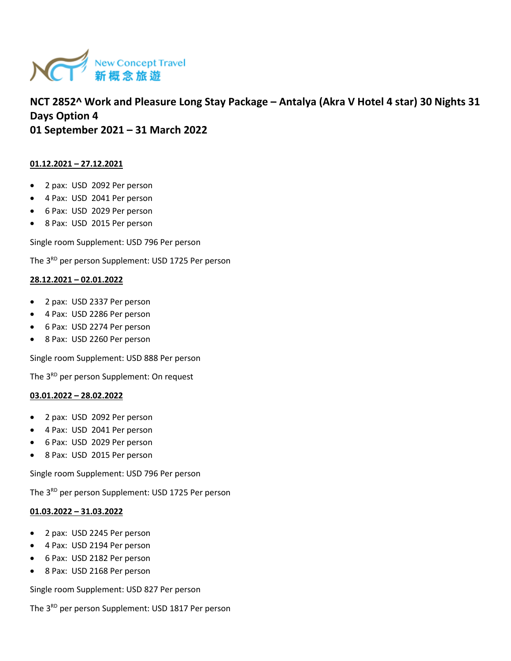

**NCT 2852^ Work and Pleasure Long Stay Package – Antalya (Akra V Hotel 4 star) 30 Nights 31 Days Option 4 01 September 2021 – 31 March 2022** 

## **01.12.2021 – 27.12.2021**

- 2 pax: USD 2092 Per person
- 4 Pax: USD 2041 Per person
- 6 Pax: USD 2029 Per person
- 8 Pax: USD 2015 Per person

Single room Supplement: USD 796 Per person

The 3<sup>RD</sup> per person Supplement: USD 1725 Per person

## **28.12.2021 – 02.01.2022**

- 2 pax: USD 2337 Per person
- 4 Pax: USD 2286 Per person
- 6 Pax: USD 2274 Per person
- 8 Pax: USD 2260 Per person

Single room Supplement: USD 888 Per person

The 3<sup>RD</sup> per person Supplement: On request

#### **03.01.2022 – 28.02.2022**

- 2 pax: USD 2092 Per person
- 4 Pax: USD 2041 Per person
- 6 Pax: USD 2029 Per person
- 8 Pax: USD 2015 Per person

Single room Supplement: USD 796 Per person

The 3<sup>RD</sup> per person Supplement: USD 1725 Per person

#### **01.03.2022 – 31.03.2022**

- 2 pax: USD 2245 Per person
- 4 Pax: USD 2194 Per person
- 6 Pax: USD 2182 Per person
- 8 Pax: USD 2168 Per person

Single room Supplement: USD 827 Per person

The 3<sup>RD</sup> per person Supplement: USD 1817 Per person